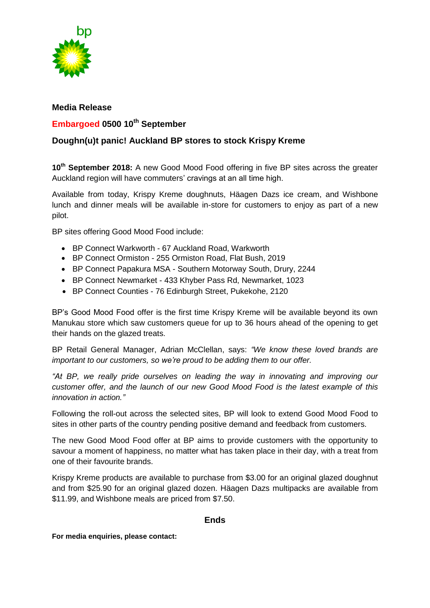

## **Media Release**

## **Embargoed 0500 10th September**

## **Doughn(u)t panic! Auckland BP stores to stock Krispy Kreme**

**10th September 2018:** A new Good Mood Food offering in five BP sites across the greater Auckland region will have commuters' cravings at an all time high.

Available from today, Krispy Kreme doughnuts, Häagen Dazs ice cream, and Wishbone lunch and dinner meals will be available in-store for customers to enjoy as part of a new pilot.

BP sites offering Good Mood Food include:

- BP Connect Warkworth 67 Auckland Road, Warkworth
- BP Connect Ormiston 255 Ormiston Road, Flat Bush, 2019
- BP Connect Papakura MSA Southern Motorway South, Drury, 2244
- BP Connect Newmarket 433 Khyber Pass Rd, Newmarket, 1023
- BP Connect Counties 76 Edinburgh Street, Pukekohe, 2120

BP's Good Mood Food offer is the first time Krispy Kreme will be available beyond its own Manukau store which saw customers queue for up to 36 hours ahead of the opening to get their hands on the glazed treats.

BP Retail General Manager, Adrian McClellan, says: *"We know these loved brands are important to our customers, so we're proud to be adding them to our offer.*

*"At BP, we really pride ourselves on leading the way in innovating and improving our customer offer, and the launch of our new Good Mood Food is the latest example of this innovation in action."*

Following the roll-out across the selected sites, BP will look to extend Good Mood Food to sites in other parts of the country pending positive demand and feedback from customers.

The new Good Mood Food offer at BP aims to provide customers with the opportunity to savour a moment of happiness, no matter what has taken place in their day, with a treat from one of their favourite brands.

Krispy Kreme products are available to purchase from \$3.00 for an original glazed doughnut and from \$25.90 for an original glazed dozen. Häagen Dazs multipacks are available from \$11.99, and Wishbone meals are priced from \$7.50.

## **Ends**

**For media enquiries, please contact:**